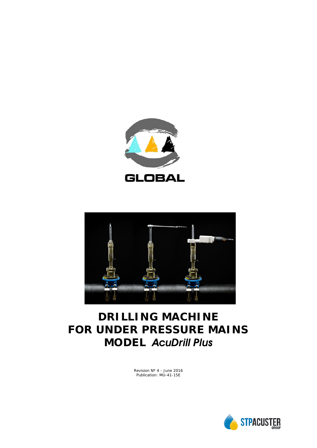



# **DRILLING MACHINE FOR UNDER PRESSURE MAINS MODEL** *AcuDrill Plus*

Revision Nº 4 - June 2016 Publication: MU-41-15E

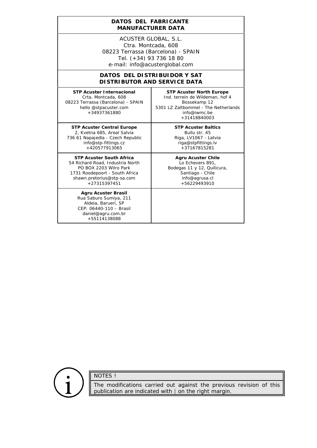#### **DATOS DEL FABRICANTE**  *MANUFACTURER DATA*

ACUSTER GLOBAL, S.L. Ctra. Montcada, 608 08223 Terrassa (Barcelona) - SPAIN Tel. (+34) 93 736 18 80 e-mail: info@acusterglobal.com

### **DATOS DEL DISTRIBUIDOR Y SAT** *DISTRIBUTOR AND SERVICE DATA*

**STP Acuster Internacional** Crta. Montcada, 608 08223 Terrassa (Barcelona) - SPAIN hello @stpacuster.com +34937361880

**STP Acuster North Europe** Ind. terrein de Wildeman, hof 4 Bossekamp 12 5301 LZ Zaltbommel - The Netherlands info@iwmc.be +31418840003

**STP Acuster Central Europe** 2, Kvetna 685, Areal Salvia 736 61 Napajedla - Czech Republic info@stp-fittings.cz +420577913065

**STP Acuster South Africa** 54 Richard Road, Industria North PO BOX 2203 Wilro Park 1731 Roodepoort - South Africa shawn.pretorius@stp-sa.com +27315397451

> **Agru Acuster Brasil** Rua Saburo Sumiya, 211 Aldeia, Barueri, SP CEP: 06440-110 – Brasil daniel@agru.com.br +55114138088

**STP Acuster Baltics** Bullu str. 45 Riga, LV1067 - Latvia riga@stpfittings.lv +37167815281

# **Agru Acuster Chile**

Lo Echevers 891, Bodegas 11 y 12, Quilicura, Santiago - Chile info@agrusa.cl +56229493910

NOTES !

The modifications carried out against the previous revision of this publication are indicated with  $\parallel$  on the right margin.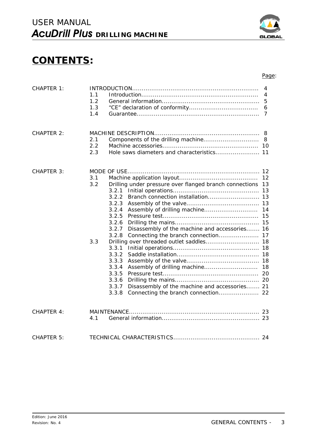# **CONTENTS:**

#### Page:

| CHAPTER 1:        | 1.1<br>1.2<br>1.3<br>1.4 |                                                                                                                                                                                                                                                                                                           | 4<br>4<br>5<br>6<br>7      |
|-------------------|--------------------------|-----------------------------------------------------------------------------------------------------------------------------------------------------------------------------------------------------------------------------------------------------------------------------------------------------------|----------------------------|
| CHAPTER 2:        | 2.1<br>2.2<br>2.3        |                                                                                                                                                                                                                                                                                                           | 8                          |
| <b>CHAPTER 3:</b> | 3.1<br>3.2<br>3.3        | Drilling under pressure over flanged branch connections<br>3.2.1<br>3.2.2<br>3.2.3<br>3.2.4<br>3.2.5<br>3.2.6<br>Disassembly of the machine and accessories 16<br>3.2.7<br>3.2.8<br>3.3.1<br>3.3.2<br>3.3.3<br>3.3.4<br>3.3.5<br>3.3.6<br>3.3.7<br>Disassembly of the machine and accessories 21<br>3.3.8 | 12<br>13<br>14<br>15<br>18 |
| <b>CHAPTER 4:</b> | 4.1                      |                                                                                                                                                                                                                                                                                                           |                            |
| <b>CHAPTER 5:</b> |                          |                                                                                                                                                                                                                                                                                                           |                            |

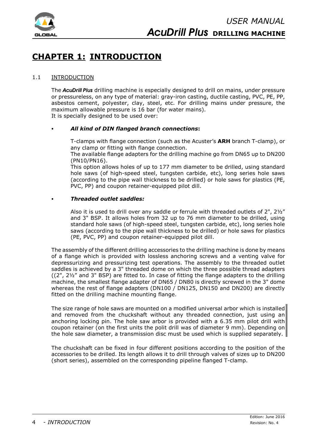

# **CHAPTER 1: INTRODUCTION**

# 1.1 INTRODUCTION

The *AcuDrill Plus* drilling machine is especially designed to drill on mains, under pressure or pressureless, on any type of material: gray-iron casting, ductile casting, PVC, PE, PP, asbestos cement, polyester, clay, steel, etc. For drilling mains under pressure, the maximum allowable pressure is 16 bar (for water mains). It is specially designed to be used over:

### C *All kind of DIN flanged branch connections***:**

T-clamps with flange connection (such as the Acuster's **ARH** branch T-clamp), or any clamp or fitting with flange connection.

The available flange adapters for the drilling machine go from DN65 up to DN200 (PN10/PN16).

This option allows holes of up to 177 mm diameter to be drilled, using standard hole saws (of high-speed steel, tungsten carbide, etc), long series hole saws (according to the pipe wall thickness to be drilled) or hole saws for plastics (PE, PVC, PP) and coupon retainer-equipped pilot dill.

#### C *Threaded outlet saddles:*

Also it is used to drill over any saddle or ferrule with threaded outlets of 2", 2½" and 3" BSP. It allows holes from 32 up to 76 mm diameter to be drilled, using standard hole saws (of high-speed steel, tungsten carbide, etc), long series hole saws (according to the pipe wall thickness to be drilled) or hole saws for plastics (PE, PVC, PP) and coupon retainer-equipped pilot dill.

The assembly of the different drilling accessories to the drilling machine is done by means of a flange which is provided with lossless anchoring screws and a venting valve for depressurizing and pressurizing test operations. The assembly to the threaded outlet saddles is achieved by a 3" threaded dome on which the three possible thread adapters ((2", 2½" and 3" BSP) are fitted to. In case of fitting the flange adapters to the drilling machine, the smallest flange adapter of DN65 / DN80 is directly screwed in the 3" dome whereas the rest of flange adapters (DN100 / DN125, DN150 and DN200) are directly fitted on the drilling machine mounting flange.

The size range of hole saws are mounted on a modified universal arbor which is installed and removed from the chuckshaft without any threaded connection, just using an anchoring locking pin. The hole saw arbor is provided with a 6.35 mm pilot drill with coupon retainer (on the first units the polit drill was of diameter 9 mm). Depending on the hole saw diameter, a transmission disc must be used which is supplied separately.

The chuckshaft can be fixed in four different positions according to the position of the accessories to be drilled. Its length allows it to drill through valves of sizes up to DN200 (short series), assembled on the corresponding pipeline flanged T-clamp.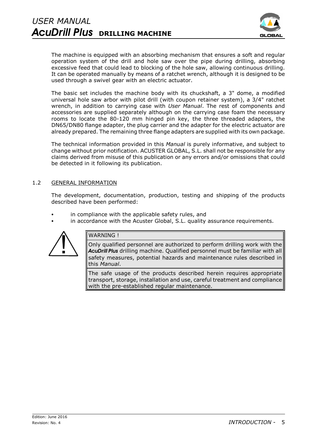

The machine is equipped with an absorbing mechanism that ensures a soft and regular operation system of the drill and hole saw over the pipe during drilling, absorbing excessive feed that could lead to blocking of the hole saw, allowing continuous drilling. It can be operated manually by means of a ratchet wrench, although it is designed to be used through a swivel gear with an electric actuator.

The basic set includes the machine body with its chuckshaft, a 3" dome, a modified universal hole saw arbor with pilot drill (with coupon retainer system), a 3/4" ratchet wrench, in addition to carrying case with *User Manual*. The rest of components and accessories are supplied separately although on the carrying case foam the necessary rooms to locate the 80-120 mm hinged pin key, the three threaded adapters, the DN65/DN80 flange adapter, the plug carrier and the adapter for the electric actuator are already prepared. The remaining three flange adapters are supplied with its own package.

The technical information provided in this *Manual* is purely informative, and subject to change without prior notification. ACUSTER GLOBAL, S.L. shall not be responsible for any claims derived from misuse of this publication or any errors and/or omissions that could be detected in it following its publication.

# 1.2 GENERAL INFORMATION

The development, documentation, production, testing and shipping of the products described have been performed:

- in compliance with the applicable safety rules, and
- in accordance with the Acuster Global, S.L. quality assurance requirements.



# WARNING !

Only qualified personnel are authorized to perform drilling work with the *AcuDrill Plus* drilling machine. Qualified personnel must be familiar with all safety measures, potential hazards and maintenance rules described in this *Manual*.

The safe usage of the products described herein requires appropriate transport, storage, installation and use, careful treatment and compliance with the pre-established regular maintenance.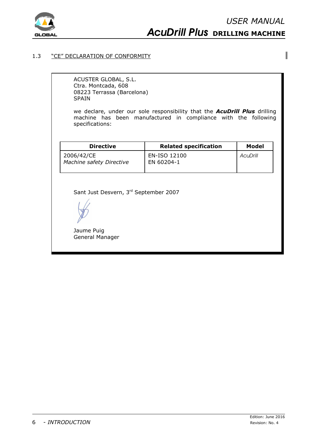

 $\overline{\phantom{a}}$ 

# *AcuDrill Plus* **DRILLING MACHINE**

#### 1.3 "CE" DECLARATION OF CONFORMITY

ACUSTER GLOBAL, S.L. Ctra. Montcada, 608 08223 Terrassa (Barcelona) SPAIN

we declare, under our sole responsibility that the *AcuDrill Plus* drilling machine has been manufactured in compliance with the following specifications:

| <b>Directive</b>                       | <b>Related specification</b> | Model    |  |
|----------------------------------------|------------------------------|----------|--|
| 2006/42/CE<br>Machine safety Directive | EN-ISO 12100<br>EN 60204-1   | AcuDrill |  |

Sant Just Desvern, 3rd September 2007

Jaume Puig General Manager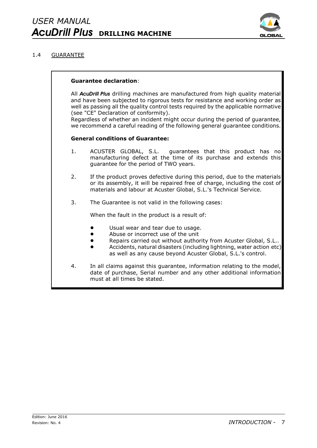

# 1.4 GUARANTEE

#### **Guarantee declaration**:

All *AcuDrill Plus* drilling machines are manufactured from high quality material and have been subjected to rigorous tests for resistance and working order as well as passing all the quality control tests required by the applicable normative (see "CE" Declaration of conformity).

Regardless of whether an incident might occur during the period of guarantee, we recommend a careful reading of the following general guarantee conditions.

# **General conditions of Guarantee:**

- 1. ACUSTER GLOBAL, S.L. guarantees that this product has no manufacturing defect at the time of its purchase and extends this guarantee for the period of TWO years.
- 2. If the product proves defective during this period, due to the materials or its assembly, it will be repaired free of charge, including the cost of materials and labour at Acuster Global, S.L.'s Technical Service.
- 3. The Guarantee is not valid in the following cases:

When the fault in the product is a result of:

- Usual wear and tear due to usage.
- Abuse or incorrect use of the unit
- Repairs carried out without authority from Acuster Global, S.L..
- Accidents, natural disasters (including lightning, water action etc) as well as any cause beyond Acuster Global, S.L.'s control.
- 4. In all claims against this guarantee, information relating to the model, date of purchase, Serial number and any other additional information must at all times be stated.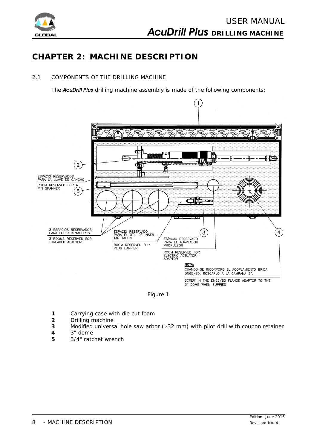

# **CHAPTER 2: MACHINE DESCRIPTION**

# 2.1 COMPONENTS OF THE DRILLING MACHINE

The *AcuDrill Plus* drilling machine assembly is made of the following components:



*Figure 1*

- **1** Carrying case with die cut foam
- **2** Drilling machine
- **3** Modified universal hole saw arbor  $(232 \text{ mm})$  with pilot drill with coupon retainer
- **4** 3" dome
- **5** 3/4" ratchet wrench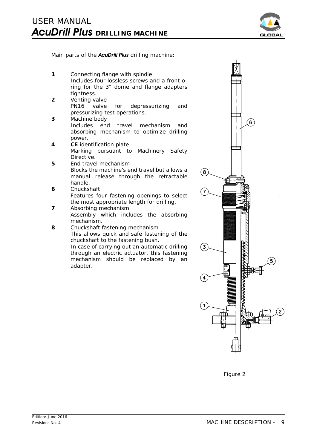

Main parts of the *AcuDrill Plus* drilling machine:

- **1** Connecting flange with spindle *Includes four lossless screws and a front oring for the 3" dome and flange adapters tightness.*
- **2** Venting valve *PN16 valve for depressurizing and pressurizing test operations.*
- **3** Machine body *Includes end travel mechanism and absorbing mechanism to optimize drilling power.*
- **4 CE** identification plate *Marking pursuant to Machinery Safety Directive.*
- **5** End travel mechanism *Blocks the machine's end travel but allows a manual release through the retractable handle.*
- **6** Chuckshaft *Features four fastening openings to select the most appropriate length for drilling.*
- **7** Absorbing mechanism *Assembly which includes the absorbing mechanism.*
- **8** Chuckshaft fastening mechanism *This allows quick and safe fastening of the chuckshaft to the fastening bush. In case of carrying out an automatic drilling through an electric actuator, this fastening mechanism should be replaced by an adapter.*



*Figure 2*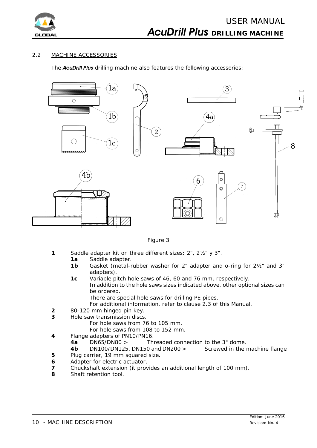

# 2.2 MACHINE ACCESSORIES

The *AcuDrill Plus* drilling machine also features the following accessories:



*Figure 3*

- **1** Saddle adapter kit on three different sizes: 2", 2½" y 3".
	- **1a** Saddle adapter.
	- **1b** Gasket (metal-rubber washer for 2" adapter and o-ring for 2½" and 3" adapters).
	- **1c** Variable pitch hole saws of 46, 60 and 76 mm, respectively. *In addition to the hole saws sizes indicated above, other optional sizes can be ordered.*
		- *There are special hole saws for drilling PE pipes.*
		- For additional information, refer to clause 2.3 of this *Manual*.
- **2** 80-120 mm hinged pin key.
- **3** Hole saw transmission discs.
	- *For hole saws from 76 to 105 mm.*
	- *For hole saws from 108 to 152 mm.*
- **4** Flange adapters of PN10/PN16.
	- **4a** DN65/DN80 > Threaded connection to the 3" dome.
- **4b** DN100/DN125, DN150 and DN200 > Screwed in the machine flange **5** Plug carrier, 19 mm squared size.
- **6** Adapter for electric actuator.
- **7** Chuckshaft extension (it provides an additional length of 100 mm).
- **8** Shaft retention tool.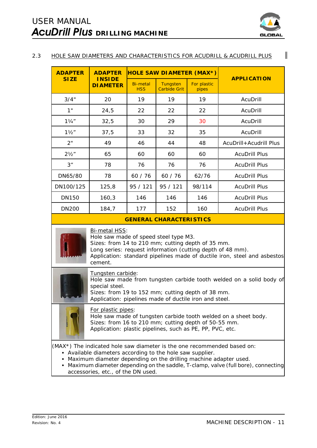

 $\mathbf{I}$ 

# 2.3 HOLE SAW DIAMETERS AND CHARACTERISTICS FOR ACUDRILL & ACUDRILL PLUS

| <b>ADAPTER</b>                                                                                                                                                                                                                                                                                                                                      | <b>ADAPTER</b>                    | <b>HOLE SAW DIAMETER (MAX*)</b> |                                 |                      |                        |
|-----------------------------------------------------------------------------------------------------------------------------------------------------------------------------------------------------------------------------------------------------------------------------------------------------------------------------------------------------|-----------------------------------|---------------------------------|---------------------------------|----------------------|------------------------|
| <b>SIZE</b>                                                                                                                                                                                                                                                                                                                                         | <b>INSIDE</b><br><b>DI AMETER</b> | <b>Bi-metal</b><br><b>HSS</b>   | Tungsten<br><b>Carbide Grit</b> | For plastic<br>pipes | <b>APPLICATION</b>     |
| 3/4"                                                                                                                                                                                                                                                                                                                                                | 20                                | 19                              | 19                              | 19                   | AcuDrill               |
| 1"                                                                                                                                                                                                                                                                                                                                                  | 24,5                              | 22                              | 22                              | 22                   | AcuDrill               |
| $1\frac{1}{4}$                                                                                                                                                                                                                                                                                                                                      | 32,5                              | 30                              | 29                              | 30                   | AcuDrill               |
| $1\frac{1}{2}$                                                                                                                                                                                                                                                                                                                                      | 37,5                              | 33                              | 32                              | 35                   | AcuDrill               |
| 2"                                                                                                                                                                                                                                                                                                                                                  | 49                                | 46                              | 44                              | 48                   | AcuDrill+Acudrill Plus |
| $2\frac{1}{2}$ "                                                                                                                                                                                                                                                                                                                                    | 65                                | 60                              | 60                              | 60                   | <b>AcuDrill Plus</b>   |
| 3"                                                                                                                                                                                                                                                                                                                                                  | 78                                | 76                              | 76                              | 76                   | <b>AcuDrill Plus</b>   |
| DN65/80                                                                                                                                                                                                                                                                                                                                             | 78                                | 60 / 76                         | 60 / 76                         | 62/76                | <b>AcuDrill Plus</b>   |
| DN100/125                                                                                                                                                                                                                                                                                                                                           | 125,8                             | 95 / 121                        | 95 / 121                        | 98/114               | <b>AcuDrill Plus</b>   |
| <b>DN150</b>                                                                                                                                                                                                                                                                                                                                        | 160,3                             | 146                             | 146                             | 146                  | <b>AcuDrill Plus</b>   |
| <b>DN200</b>                                                                                                                                                                                                                                                                                                                                        | 184,7                             | 177                             | 152                             | 160                  | <b>AcuDrill Plus</b>   |
| <b>GENERAL CHARACTERISTICS</b>                                                                                                                                                                                                                                                                                                                      |                                   |                                 |                                 |                      |                        |
| <b>Bi-metal HSS:</b><br>Hole saw made of speed steel type M3.<br>Sizes: from 14 to 210 mm; cutting depth of 35 mm.<br>Long series: request information (cutting depth of 48 mm).<br>Application: standard pipelines made of ductile iron, steel and asbestos<br>cement.                                                                             |                                   |                                 |                                 |                      |                        |
| Tungsten carbide:<br>Hole saw made from tungsten carbide tooth welded on a solid body of<br>special steel.<br>Sizes: from 19 to 152 mm; cutting depth of 38 mm.<br>Application: pipelines made of ductile iron and steel.                                                                                                                           |                                   |                                 |                                 |                      |                        |
| For plastic pipes:<br>Hole saw made of tungsten carbide tooth welded on a sheet body.<br>Sizes: from 16 to 210 mm; cutting depth of 50-55 mm.<br>Application: plastic pipelines, such as PE, PP, PVC, etc.                                                                                                                                          |                                   |                                 |                                 |                      |                        |
| (MAX <sup>*</sup> ) The indicated hole saw diameter is the one recommended based on:<br>• Available diameters according to the hole saw supplier.<br>• Maximum diameter depending on the drilling machine adapter used.<br>• Maximum diameter depending on the saddle, T-clamp, valve (full bore), connecting<br>accessories, etc., of the DN used. |                                   |                                 |                                 |                      |                        |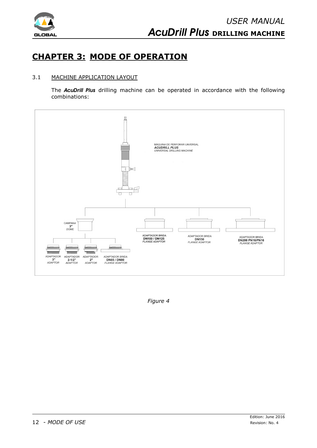

# **CHAPTER 3: MODE OF OPERATION**

# 3.1 MACHINE APPLICATION LAYOUT

The *AcuDrill Plus* drilling machine can be operated in accordance with the following combinations:



*Figure 4*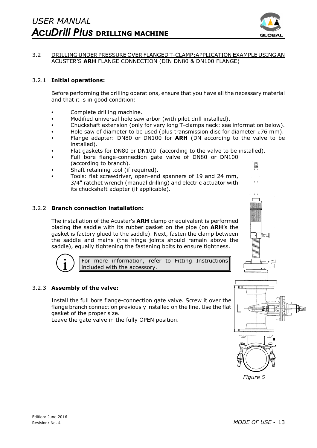

### 3.2 DRILLING UNDER PRESSURE OVER FLANGED T-CLAMP:APPLICATION EXAMPLE USING AN ACUSTER'S **ARH** FLANGE CONNECTION (DIN DN80 & DN100 FLANGE)

# 3.2.1 **Initial operations:**

Before performing the drilling operations, ensure that you have all the necessary material and that it is in good condition:

- Complete drilling machine.
- Modified universal hole saw arbor (with pilot drill installed).
- Chuckshaft extension (only for very long T-clamps neck: see information below).
- Hole saw of diameter to be used (plus transmission disc for diameter  $\geq$  76 mm).
- Flange adapter: DN80 or DN100 for **ARH** (DN according to the valve to be installed).
- Flat gaskets for DN80 or DN100 (according to the valve to be installed).
- Full bore flange-connection gate valve of DN80 or DN100 (according to branch).
- Shaft retaining tool (if required).
- Tools: flat screwdriver, open-end spanners of 19 and 24 mm, 3/4" ratchet wrench (manual drilling) and electric actuator with its chuckshaft adapter (if applicable).

#### 3.2.2 **Branch connection installation:**

The installation of the Acuster's **ARH** clamp or equivalent is performed placing the saddle with its rubber gasket on the pipe (on **ARH**'s the gasket is factory glued to the saddle). Next, fasten the clamp between the saddle and mains (the hinge joints should remain above the saddle), equally tightening the fastening bolts to ensure tightness.



For more information, refer to Fitting Instructions included with the accessory.

# 3.2.3 **Assembly of the valve:**

Install the full bore flange-connection gate valve. Screw it over the flange branch connection previously installed on the line. Use the flat gasket of the proper size.

Leave the gate valve in the fully OPEN position.

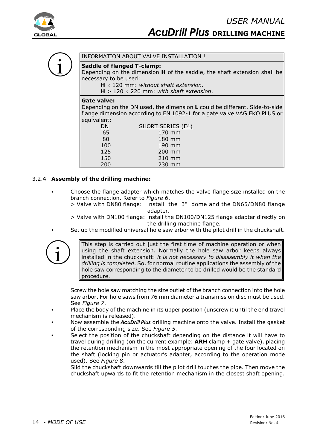

# INFORMATION ABOUT VALVE INSTALLATION !

# **Saddle of flanged T-clamp:**

Depending on the dimension **H** of the saddle, the shaft extension shall be necessary to be used:

 $H \leq 120$  mm: *without shaft extension.* 

 $H > 120 < 220$  mm: *with shaft extension*.

#### **Gate valve:**

Depending on the DN used, the dimension **L** could be different. Side-to-side flange dimension according to EN 1092-1 for a gate valve VAG EKO PLUS or equivalent:

| ЭN  | <b>SHORT SERIES (F4)</b> |
|-----|--------------------------|
| 65  | 170 mm                   |
| 80  | 180 mm                   |
| 100 | 190 mm                   |
| 125 | 200 mm                   |
| 150 | 210 mm                   |
| 200 | 230 mm                   |

# 3.2.4 **Assembly of the drilling machine:**

- Choose the flange adapter which matches the valve flange size installed on the branch connection. Refer to *Figure 6*.
	- > Valve with DN80 flange: install the 3" dome and the DN65/DN80 flange adapter.
	- > Valve with DN100 flange: install the DN100/DN125 flange adapter directly on the drilling machine flange.
	- Set up the modified universal hole saw arbor with the pilot drill in the chuckshaft.



This step is carried out just the first time of machine operation or when using the shaft extension. Normally the hole saw arbor keeps always installed in the chuckshaft: *it is not necessary to disassembly it when the drilling is completed*. So, for normal routine applications the assembly of the hole saw corresponding to the diameter to be drilled would be the standard procedure.

Screw the hole saw matching the size outlet of the branch connection into the hole saw arbor. For hole saws from 76 mm diameter a transmission disc must be used. See *Figure 7*.

- Place the body of the machine in its upper position (unscrew it until the end travel mechanism is released).
- Now assemble the *AcuDrill Plus* drilling machine onto the valve. Install the gasket of the corresponding size. See *Figure 5*.
- Select the position of the chuckshaft depending on the distance it will have to travel during drilling (on the current example: **ARH** clamp + gate valve), placing the retention mechanism in the most appropriate opening of the four located on the shaft (locking pin or actuator's adapter, according to the operation mode used). See *Figure 8*.

Slid the chuckshaft downwards till the pilot drill touches the pipe. Then move the chuckshaft upwards to fit the retention mechanism in the closest shaft opening.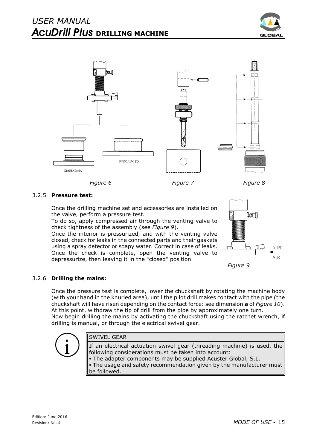



*Figure 6 Figure 7 Figure 8*

# 3.2.5 **Pressure test:**

Once the drilling machine set and accessories are installed on the valve, perform a pressure test.

To do so, apply compressed air through the venting valve to check tightness of the assembly (see *Figure 9*).

Once the interior is pressurized, and with the venting valve closed, check for leaks in the connected parts and their gaskets using a spray detector or soapy water. Correct in case of leaks. Once the check is complete, open the venting valve to depressurize, then leaving it in the "closed" position.





# 3.2.6 **Drilling the mains:**

Once the pressure test is complete, lower the chuckshaft by rotating the machine body (with your hand in the knurled area), until the pilot drill makes contact with the pipe (the chuckshaft will have risen depending on the contact force: see dimension **a** of *Figure 10*). At this point, withdraw the tip of drill from the pipe by approximately one turn. Now begin drilling the mains by activating the chuckshaft using the ratchet wrench, if drilling is manual, or through the electrical swivel gear.



# SWIVEL GEAR

If an electrical actuation swivel gear (threading machine) is used, the following considerations must be taken into account: • The adapter components may be supplied Acuster Global, S.L. • The usage and safety recommendation given by the manufacturer must be followed.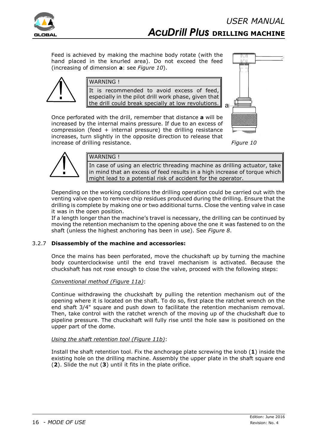

Feed is achieved by making the machine body rotate (with the hand placed in the knurled area). Do not exceed the feed (increasing of dimension **a**: see *Figure 10*).



# WARNING !

It is recommended to avoid excess of feed, especially in the pilot drill work phase, given that the drill could break specially at low revolutions.

Once perforated with the drill, remember that distance **a** will be increased by the internal mains pressure. If due to an excess of compression (feed  $+$  internal pressure) the drilling resistance increases, turn slightly in the opposite direction to release that increase of drilling resistance. *Figure 10*





# WARNING !

In case of using an electric threading machine as drilling actuator, take in mind that an excess of feed results in a high increase of torque which might lead to a potential risk of accident for the operator.

Depending on the working conditions the drilling operation could be carried out with the venting valve open to remove chip residues produced during the drilling. Ensure that the drilling is complete by making one or two additional turns. Close the venting valve in case it was in the open position.

If a length longer than the machine's travel is necessary, the drilling can be continued by moving the retention mechanism to the opening above the one it was fastened to on the shaft (unless the highest anchoring has been in use). See *Figure 8*.

# 3.2.7 **Disassembly of the machine and accessories:**

Once the mains has been perforated, move the chuckshaft up by turning the machine body counterclockwise until the end travel mechanism is activated. Because the chuckshaft has not rose enough to close the valve, proceed with the following steps:

# *Conventional method (Figure 11a)*:

Continue withdrawing the chuckshaft by pulling the retention mechanism out of the opening where it is located on the shaft. To do so, first place the ratchet wrench on the end shaft 3/4" square and push down to facilitate the retention mechanism removal. Then, take control with the ratchet wrench of the moving up of the chuckshaft due to pipeline pressure. The chuckshaft will fully rise until the hole saw is positioned on the upper part of the dome.

# *Using the shaft retention tool (Figure 11b)*:

Install the shaft retention tool. Fix the anchorage plate screwing the knob (**1**) inside the existing hole on the drilling machine. Assembly the upper plate in the shaft square end (**2**). Slide the nut (**3**) until it fits in the plate orifice.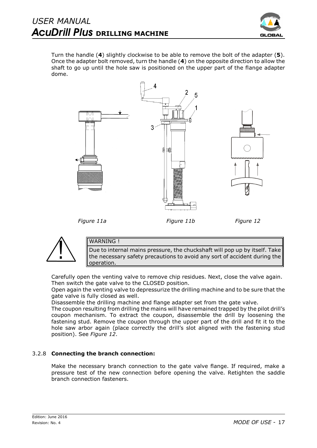

Turn the handle (**4**) slightly clockwise to be able to remove the bolt of the adapter (**5**). Once the adapter bolt removed, turn the handle (**4**) on the opposite direction to allow the shaft to go up until the hole saw is positioned on the upper part of the flange adapter dome.







# WARNING !

Due to internal mains pressure, the chuckshaft will pop up by itself. Take the necessary safety precautions to avoid any sort of accident during the operation.

Carefully open the venting valve to remove chip residues. Next, close the valve again. Then switch the gate valve to the CLOSED position.

Open again the venting valve to depressurize the drilling machine and to be sure that the gate valve is fully closed as well.

Disassemble the drilling machine and flange adapter set from the gate valve.

The coupon resulting from drilling the mains will have remained trapped by the pilot drill's coupon mechanism. To extract the coupon, disassemble the drill by loosening the fastening stud. Remove the coupon through the upper part of the drill and fit it to the hole saw arbor again (place correctly the drill's slot aligned with the fastening stud position). See *Figure 12*.

# 3.2.8 **Connecting the branch connection:**

Make the necessary branch connection to the gate valve flange. If required, make a pressure test of the new connection before opening the valve. Retighten the saddle branch connection fasteners.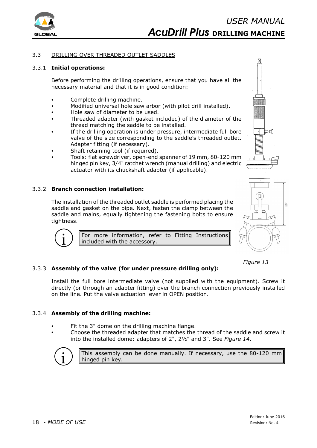

### 3.3 DRILLING OVER THREADED OUTLET SADDLES

#### 3.3.1 **Initial operations:**

Before performing the drilling operations, ensure that you have all the necessary material and that it is in good condition:

- Complete drilling machine.
- Modified universal hole saw arbor (with pilot drill installed).
- Hole saw of diameter to be used.
- Threaded adapter (with gasket included) of the diameter of the thread matching the saddle to be installed.
- If the drilling operation is under pressure, intermediate full bore valve of the size corresponding to the saddle's threaded outlet. Adapter fitting (if necessary).
- Shaft retaining tool (if required).
- Tools: flat screwdriver, open-end spanner of 19 mm, 80-120 mm hinged pin key, 3/4" ratchet wrench (manual drilling) and electric actuator with its chuckshaft adapter (if applicable).

# 3.3.2 **Branch connection installation:**

The installation of the threaded outlet saddle is performed placing the saddle and gasket on the pipe. Next, fasten the clamp between the saddle and mains, equally tightening the fastening bolts to ensure tightness.



For more information, refer to Fitting Instructions included with the accessory.



#### *Figure 13*

#### 3.3.3 **Assembly of the valve (for under pressure drilling only):**

Install the full bore intermediate valve (not supplied with the equipment). Screw it directly (or through an adapter fitting) over the branch connection previously installed on the line. Put the valve actuation lever in OPEN position.

#### 3.3.4 **Assembly of the drilling machine:**

- Fit the 3" dome on the drilling machine flange.
- Choose the threaded adapter that matches the thread of the saddle and screw it into the installed dome: adapters of 2", 2½" and 3". See *Figure 14*.



This assembly can be done manually. If necessary, use the 80-120 mm hinged pin key.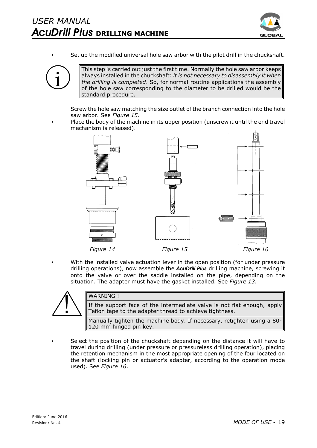

Set up the modified universal hole saw arbor with the pilot drill in the chuckshaft.



This step is carried out just the first time. Normally the hole saw arbor keeps always installed in the chuckshaft: *it is not necessary to disassembly it when the drilling is completed*. So, for normal routine applications the assembly of the hole saw corresponding to the diameter to be drilled would be the standard procedure.

Screw the hole saw matching the size outlet of the branch connection into the hole saw arbor. See *Figure 15*.

Place the body of the machine in its upper position (unscrew it until the end travel mechanism is released).



With the installed valve actuation lever in the open position (for under pressure drilling operations), now assemble the *AcuDrill Plus* drilling machine, screwing it onto the valve or over the saddle installed on the pipe, depending on the situation. The adapter must have the gasket installed. See *Figure 13*.



# WARNING !

If the support face of the intermediate valve is not flat enough, apply Teflon tape to the adapter thread to achieve tightness.

Manually tighten the machine body. If necessary, retighten using a 80- 120 mm hinged pin key.

Select the position of the chuckshaft depending on the distance it will have to travel during drilling (under pressure or pressureless drilling operation), placing the retention mechanism in the most appropriate opening of the four located on the shaft (locking pin or actuator's adapter, according to the operation mode used). See *Figure 16*.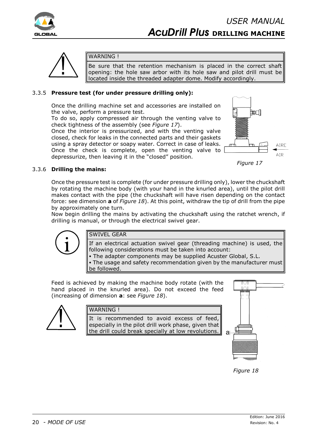



# WARNING !

Be sure that the retention mechanism is placed in the correct shaft opening: the hole saw arbor with its hole saw and pilot drill must be located inside the threaded adapter dome. Modify accordingly.

# 3.3.5 **Pressure test (for under pressure drilling only):**

Once the drilling machine set and accessories are installed on the valve, perform a pressure test.

To do so, apply compressed air through the venting valve to check tightness of the assembly (see *Figure 17*).

Once the interior is pressurized, and with the venting valve closed, check for leaks in the connected parts and their gaskets using a spray detector or soapy water. Correct in case of leaks. Once the check is complete, open the venting valve to depressurize, then leaving it in the "closed" position.



*Figure 17*

# 3.3.6 **Drilling the mains:**

Once the pressure test is complete (for under pressure drilling only), lower the chuckshaft by rotating the machine body (with your hand in the knurled area), until the pilot drill makes contact with the pipe (the chuckshaft will have risen depending on the contact force: see dimension **a** of *Figure 18*). At this point, withdraw the tip of drill from the pipe by approximately one turn.

Now begin drilling the mains by activating the chuckshaft using the ratchet wrench, if drilling is manual, or through the electrical swivel gear.



# SWIVEL GEAR

If an electrical actuation swivel gear (threading machine) is used, the following considerations must be taken into account:

• The adapter components may be supplied Acuster Global, S.L. • The usage and safety recommendation given by the manufacturer must be followed.

Feed is achieved by making the machine body rotate (with the hand placed in the knurled area). Do not exceed the feed (increasing of dimension **a**: see *Figure 18*).



# WARNING !

It is recommended to avoid excess of feed, especially in the pilot drill work phase, given that the drill could break specially at low revolutions.



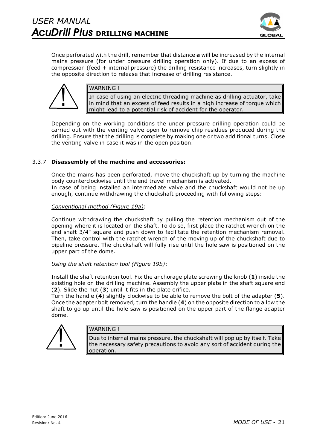

Once perforated with the drill, remember that distance **a** will be increased by the internal mains pressure (for under pressure drilling operation only). If due to an excess of compression (feed + internal pressure) the drilling resistance increases, turn slightly in the opposite direction to release that increase of drilling resistance.



# WARNING !

In case of using an electric threading machine as drilling actuator, take in mind that an excess of feed results in a high increase of torque which might lead to a potential risk of accident for the operator.

Depending on the working conditions the under pressure drilling operation could be carried out with the venting valve open to remove chip residues produced during the drilling. Ensure that the drilling is complete by making one or two additional turns. Close the venting valve in case it was in the open position.

# 3.3.7 **Disassembly of the machine and accessories:**

Once the mains has been perforated, move the chuckshaft up by turning the machine body counterclockwise until the end travel mechanism is activated. In case of being installed an intermediate valve and the chuckshaft would not be up enough, continue withdrawing the chuckshaft proceeding with following steps:

#### *Conventional method (Figure 19a)*:

Continue withdrawing the chuckshaft by pulling the retention mechanism out of the opening where it is located on the shaft. To do so, first place the ratchet wrench on the end shaft 3/4" square and push down to facilitate the retention mechanism removal. Then, take control with the ratchet wrench of the moving up of the chuckshaft due to pipeline pressure. The chuckshaft will fully rise until the hole saw is positioned on the upper part of the dome.

#### *Using the shaft retention tool (Figure 19b)*:

Install the shaft retention tool. Fix the anchorage plate screwing the knob (**1**) inside the existing hole on the drilling machine. Assembly the upper plate in the shaft square end (**2**). Slide the nut (**3**) until it fits in the plate orifice.

Turn the handle (**4**) slightly clockwise to be able to remove the bolt of the adapter (**5**). Once the adapter bolt removed, turn the handle (**4**) on the opposite direction to allow the shaft to go up until the hole saw is positioned on the upper part of the flange adapter dome.



#### WARNING !

Due to internal mains pressure, the chuckshaft will pop up by itself. Take the necessary safety precautions to avoid any sort of accident during the operation.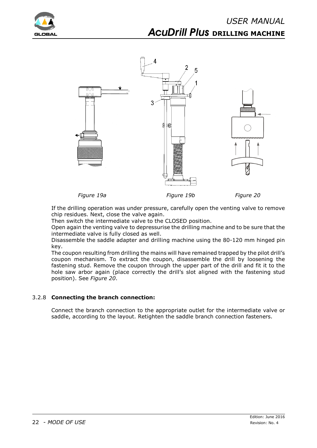



*Figure 19a Figure 19b Figure 20*

If the drilling operation was under pressure, carefully open the venting valve to remove chip residues. Next, close the valve again.

Then switch the intermediate valve to the CLOSED position.

Open again the venting valve to depressurise the drilling machine and to be sure that the intermediate valve is fully closed as well.

Disassemble the saddle adapter and drilling machine using the 80-120 mm hinged pin key.

The coupon resulting from drilling the mains will have remained trapped by the pilot drill's coupon mechanism. To extract the coupon, disassemble the drill by loosening the fastening stud. Remove the coupon through the upper part of the drill and fit it to the hole saw arbor again (place correctly the drill's slot aligned with the fastening stud position). See *Figure 20*.

# 3.2.8 **Connecting the branch connection:**

Connect the branch connection to the appropriate outlet for the intermediate valve or saddle, according to the layout. Retighten the saddle branch connection fasteners.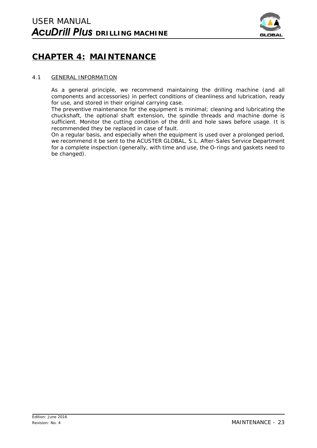

# **CHAPTER 4: MAINTENANCE**

### 4.1 GENERAL INFORMATION

As a general principle, we recommend maintaining the drilling machine (and all components and accessories) in perfect conditions of cleanliness and lubrication, ready for use, and stored in their original carrying case.

The preventive maintenance for the equipment is minimal; cleaning and lubricating the chuckshaft, the optional shaft extension, the spindle threads and machine dome is sufficient. Monitor the cutting condition of the drill and hole saws before usage. It is recommended they be replaced in case of fault.

On a regular basis, and especially when the equipment is used over a prolonged period, we recommend it be sent to the ACUSTER GLOBAL, S.L. After-Sales Service Department for a complete inspection (generally, with time and use, the O-rings and gaskets need to be changed).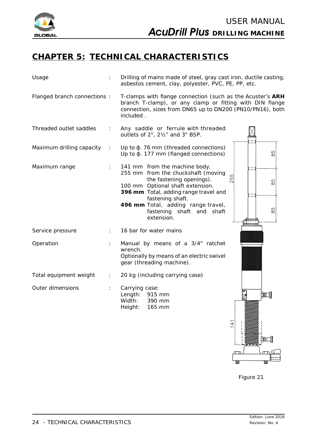

# **CHAPTER 5: TECHNICAL CHARACTERISTICS**

| Usage                        |    | Drilling of mains made of steel, gray cast iron, ductile casting,<br>asbestos cement, clay, polyester, PVC, PE, PP, etc.                                                                                                                                                          |                          |
|------------------------------|----|-----------------------------------------------------------------------------------------------------------------------------------------------------------------------------------------------------------------------------------------------------------------------------------|--------------------------|
| Flanged branch connections : |    | T-clamps with flange connection (such as the Acuster's ARH<br>branch T-clamp), or any clamp or fitting with DIN flange<br>connection, sizes from DN65 up to DN200 (PN10/PN16), both<br>included.                                                                                  |                          |
| Threaded outlet saddles      |    | Any saddle or ferrule with threaded<br>outlets of 2", 21/2" and 3" BSP.                                                                                                                                                                                                           |                          |
| Maximum drilling capacity    |    | Up to $\phi$ . 76 mm (threaded connections)<br>Up to $\phi$ . 177 mm (flanged connections)                                                                                                                                                                                        | ഹ<br>$\infty$            |
| Maximum range                |    | 141 mm from the machine body.<br>255 mm from the chuckshaft (moving<br>the fastening openings).<br>100 mm Optional shaft extension.<br>396 mm Total, adding range travel and<br>fastening shaft.<br>496 mm Total, adding range travel,<br>fastening shaft and shaft<br>extension. | ഗ<br>$\frac{1}{8}$<br>85 |
| Service pressure             |    | 16 bar for water mains                                                                                                                                                                                                                                                            |                          |
| Operation                    |    | Manual by means of a 3/4" ratchet<br>wrench.<br>Optionally by means of an electric swivel<br>gear (threading machine).                                                                                                                                                            |                          |
| Total equipment weight       | ÷. | 20 kg (including carrying case)                                                                                                                                                                                                                                                   |                          |
| Outer dimensions             |    | Carrying case:<br>Length:<br>915 mm<br>Width:<br>390 mm<br>Height:<br>165 mm                                                                                                                                                                                                      | 蚎<br>141                 |

*Figure 21*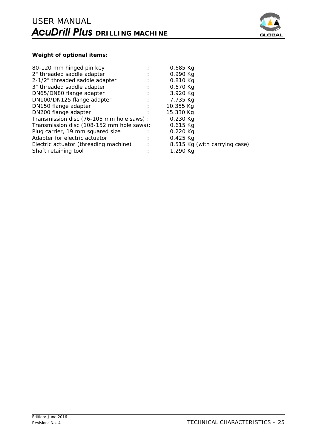

# **Weight of optional items:**

| 80-120 mm hinged pin key                  |   | $0.685$ Kg                    |
|-------------------------------------------|---|-------------------------------|
| 2" threaded saddle adapter                |   | 0.990 Kg                      |
| 2-1/2" threaded saddle adapter            |   | 0.810 Kg                      |
| 3" threaded saddle adapter                |   | 0.670 Kg                      |
| DN65/DN80 flange adapter                  |   | 3.920 Kg                      |
| DN100/DN125 flange adapter                |   | 7.735 Kg                      |
| DN150 flange adapter                      |   | 10.355 Kg                     |
| DN200 flange adapter                      |   | 15.330 Kg                     |
| Transmission disc (76-105 mm hole saws) : |   | $0.230$ Kg                    |
| Transmission disc (108-152 mm hole saws): |   | $0.615$ Kg                    |
| Plug carrier, 19 mm squared size          |   | $0.220$ Kg                    |
| Adapter for electric actuator             | ÷ | $0.425$ Kg                    |
| Electric actuator (threading machine)     |   | 8.515 Kg (with carrying case) |
| Shaft retaining tool                      |   | 1.290 Kg                      |
|                                           |   |                               |